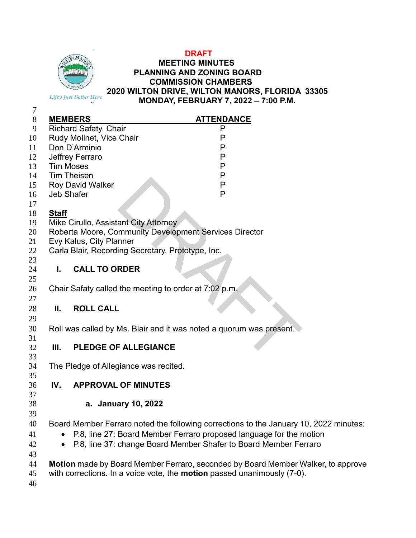

#### **DRAFT MEETING MINUTES PLANNING AND ZONING BOARD COMMISSION CHAMBERS 2020 WILTON DRIVE, WILTON MANORS, FLORIDA 33305 MONDAY, FEBRUARY 7, 2022 – 7:00 P.M.**

| 7     |                                                                     |                                                       |                                                                                       |
|-------|---------------------------------------------------------------------|-------------------------------------------------------|---------------------------------------------------------------------------------------|
| $8\,$ |                                                                     | <b>MEMBERS</b>                                        | <b>ATTENDANCE</b>                                                                     |
| 9     |                                                                     | Richard Safaty, Chair                                 | P                                                                                     |
| 10    |                                                                     | Rudy Molinet, Vice Chair                              | P                                                                                     |
| 11    |                                                                     | Don D'Arminio                                         | P                                                                                     |
| 12    |                                                                     | Jeffrey Ferraro                                       | P                                                                                     |
| 13    |                                                                     | <b>Tim Moses</b>                                      | P                                                                                     |
| 14    | <b>Tim Theisen</b>                                                  |                                                       | P                                                                                     |
| 15    | <b>Roy David Walker</b>                                             |                                                       | P                                                                                     |
| 16    |                                                                     | <b>Jeb Shafer</b>                                     | P                                                                                     |
| 17    |                                                                     |                                                       |                                                                                       |
| 18    | <b>Staff</b>                                                        |                                                       |                                                                                       |
| 19    |                                                                     | Mike Cirullo, Assistant City Attorney                 |                                                                                       |
| 20    | Roberta Moore, Community Development Services Director              |                                                       |                                                                                       |
| 21    | Evy Kalus, City Planner                                             |                                                       |                                                                                       |
| 22    |                                                                     | Carla Blair, Recording Secretary, Prototype, Inc.     |                                                                                       |
| 23    |                                                                     |                                                       |                                                                                       |
| 24    | L.                                                                  | <b>CALL TO ORDER</b>                                  |                                                                                       |
| 25    |                                                                     |                                                       |                                                                                       |
| 26    |                                                                     | Chair Safaty called the meeting to order at 7:02 p.m. |                                                                                       |
| 27    |                                                                     |                                                       |                                                                                       |
| 28    | Ш.                                                                  | <b>ROLL CALL</b>                                      |                                                                                       |
| 29    |                                                                     |                                                       |                                                                                       |
| 30    | Roll was called by Ms. Blair and it was noted a quorum was present. |                                                       |                                                                                       |
| 31    |                                                                     |                                                       |                                                                                       |
| 32    | Ш.                                                                  | <b>PLEDGE OF ALLEGIANCE</b>                           |                                                                                       |
| 33    |                                                                     |                                                       |                                                                                       |
| 34    |                                                                     | The Pledge of Allegiance was recited.                 |                                                                                       |
| 35    |                                                                     |                                                       |                                                                                       |
| 36    | IV.                                                                 | <b>APPROVAL OF MINUTES</b>                            |                                                                                       |
| 37    |                                                                     |                                                       |                                                                                       |
| 38    |                                                                     | a. January 10, 2022                                   |                                                                                       |
| 39    |                                                                     |                                                       |                                                                                       |
| 40    |                                                                     |                                                       | Board Member Ferraro noted the following corrections to the January 10, 2022 minutes: |
| 41    |                                                                     |                                                       | P.8, line 27: Board Member Ferraro proposed language for the motion                   |
| 42    |                                                                     |                                                       | P.8, line 37: change Board Member Shafer to Board Member Ferraro                      |
| 43    |                                                                     |                                                       |                                                                                       |
| 44    |                                                                     |                                                       | Motion made by Board Member Ferraro, seconded by Board Member Walker, to approve      |

with corrections. In a voice vote, the **motion** passed unanimously (7-0).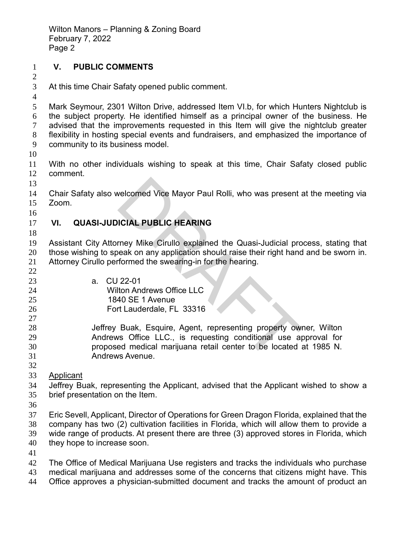### **V. PUBLIC COMMENTS**

At this time Chair Safaty opened public comment.

 Mark Seymour, 2301 Wilton Drive, addressed Item VI.b, for which Hunters Nightclub is the subject property. He identified himself as a principal owner of the business. He advised that the improvements requested in this Item will give the nightclub greater flexibility in hosting special events and fundraisers, and emphasized the importance of community to its business model.

 With no other individuals wishing to speak at this time, Chair Safaty closed public comment.

 Chair Safaty also welcomed Vice Mayor Paul Rolli, who was present at the meeting via Zoom.

## **VI. QUASI-JUDICIAL PUBLIC HEARING**

 Assistant City Attorney Mike Cirullo explained the Quasi-Judicial process, stating that those wishing to speak on any application should raise their right hand and be sworn in. Attorney Cirullo performed the swearing-in for the hearing.

- a. CU 22-01
- Wilton Andrews Office LLC
- 1840 SE 1 Avenue
- Fort Lauderdale, FL 33316

 Jeffrey Buak, Esquire, Agent, representing property owner, Wilton Andrews Office LLC., is requesting conditional use approval for proposed medical marijuana retail center to be located at 1985 N. Andrews Avenue. velcomed Vice Mayor Paul Rolli, who was present a<br>
ICIAL PUBLIC HEARING<br>
rney Mike Cirullo explained the Quasi-Judicial pro<br>
beak on any application should raise their right hand<br>
formed the swearing-in for the hearing.<br>
2

 Applicant

 Jeffrey Buak, representing the Applicant, advised that the Applicant wished to show a brief presentation on the Item.

 Eric Sevell, Applicant, Director of Operations for Green Dragon Florida, explained that the company has two (2) cultivation facilities in Florida, which will allow them to provide a wide range of products. At present there are three (3) approved stores in Florida, which

- they hope to increase soon.
- 

 The Office of Medical Marijuana Use registers and tracks the individuals who purchase medical marijuana and addresses some of the concerns that citizens might have. This Office approves a physician-submitted document and tracks the amount of product an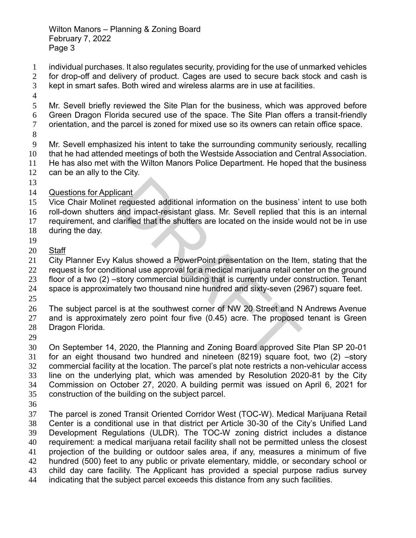- individual purchases. It also regulates security, providing for the use of unmarked vehicles for drop-off and delivery of product. Cages are used to secure back stock and cash is
- kept in smart safes. Both wired and wireless alarms are in use at facilities.
- 
- Mr. Sevell briefly reviewed the Site Plan for the business, which was approved before Green Dragon Florida secured use of the space. The Site Plan offers a transit-friendly orientation, and the parcel is zoned for mixed use so its owners can retain office space.
- 

 Mr. Sevell emphasized his intent to take the surrounding community seriously, recalling that he had attended meetings of both the Westside Association and Central Association. He has also met with the Wilton Manors Police Department. He hoped that the business

- can be an ally to the City.
- 
- Questions for Applicant

 Vice Chair Molinet requested additional information on the business' intent to use both roll-down shutters and impact-resistant glass. Mr. Sevell replied that this is an internal cant<br>requested additional information on the business'<br>and impact-resistant glass. Mr. Sevell replied that<br>larified that the shutters are located on the inside we<br>callus showed a PowerPoint presentation on the Iter<br>tional

- requirement, and clarified that the shutters are located on the inside would not be in use
- during the day.
- 
- Staff

 City Planner Evy Kalus showed a PowerPoint presentation on the Item, stating that the 22 request is for conditional use approval for a medical marijuana retail center on the ground

floor of a two (2) –story commercial building that is currently under construction. Tenant

space is approximately two thousand nine hundred and sixty-seven (2967) square feet.

The subject parcel is at the southwest corner of NW 20 Street and N Andrews Avenue

and is approximately zero point four five (0.45) acre. The proposed tenant is Green

- Dragon Florida.
- 

 On September 14, 2020, the Planning and Zoning Board approved Site Plan SP 20-01 for an eight thousand two hundred and nineteen (8219) square foot, two (2) –story commercial facility at the location. The parcel's plat note restricts a non-vehicular access line on the underlying plat, which was amended by Resolution 2020-81 by the City Commission on October 27, 2020. A building permit was issued on April 6, 2021 for construction of the building on the subject parcel.

 The parcel is zoned Transit Oriented Corridor West (TOC-W). Medical Marijuana Retail Center is a conditional use in that district per Article 30-30 of the City's Unified Land Development Regulations (ULDR). The TOC-W zoning district includes a distance requirement: a medical marijuana retail facility shall not be permitted unless the closest projection of the building or outdoor sales area, if any, measures a minimum of five hundred (500) feet to any public or private elementary, middle, or secondary school or child day care facility. The Applicant has provided a special purpose radius survey indicating that the subject parcel exceeds this distance from any such facilities.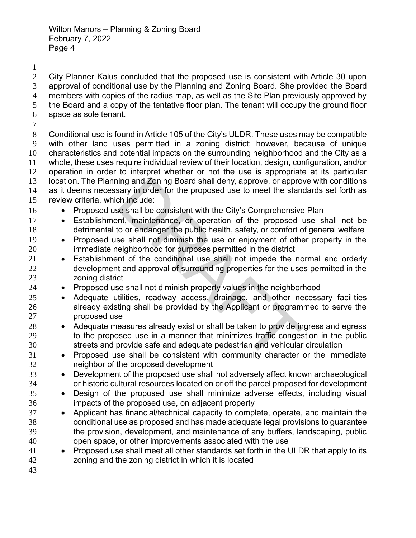City Planner Kalus concluded that the proposed use is consistent with Article 30 upon approval of conditional use by the Planning and Zoning Board. She provided the Board members with copies of the radius map, as well as the Site Plan previously approved by the Board and a copy of the tentative floor plan. The tenant will occupy the ground floor space as sole tenant.

 Conditional use is found in Article 105 of the City's ULDR. These uses may be compatible with other land uses permitted in a zoning district; however, because of unique characteristics and potential impacts on the surrounding neighborhood and the City as a whole, these uses require individual review of their location, design, configuration, and/or operation in order to interpret whether or not the use is appropriate at its particular location. The Planning and Zoning Board shall deny, approve, or approve with conditions as it deems necessary in order for the proposed use to meet the standards set forth as review criteria, which include:

- 16 Proposed use shall be consistent with the City's Comprehensive Plan
- Establishment, maintenance, or operation of the proposed use shall not be detrimental to or endanger the public health, safety, or comfort of general welfare
- Proposed use shall not diminish the use or enjoyment of other property in the immediate neighborhood for purposes permitted in the district
- Establishment of the conditional use shall not impede the normal and orderly development and approval of surrounding properties for the uses permitted in the zoning district
- Proposed use shall not diminish property values in the neighborhood
- Adequate utilities, roadway access, drainage, and other necessary facilities already existing shall be provided by the Applicant or programmed to serve the proposed use ing and Zoning Board shall deny, approve, or appro<br>sary in order for the proposed use to meet the stan<br>ch include:<br>se shall be consistent with the City's Comprehensive<br>mt, maintenance, or operation of the proposed<br>to or en
- Adequate measures already exist or shall be taken to provide ingress and egress to the proposed use in a manner that minimizes traffic congestion in the public streets and provide safe and adequate pedestrian and vehicular circulation
- Proposed use shall be consistent with community character or the immediate neighbor of the proposed development
- Development of the proposed use shall not adversely affect known archaeological or historic cultural resources located on or off the parcel proposed for development
- Design of the proposed use shall minimize adverse effects, including visual impacts of the proposed use, on adjacent property
- Applicant has financial/technical capacity to complete, operate, and maintain the conditional use as proposed and has made adequate legal provisions to guarantee the provision, development, and maintenance of any buffers, landscaping, public open space, or other improvements associated with the use
- Proposed use shall meet all other standards set forth in the ULDR that apply to its zoning and the zoning district in which it is located
-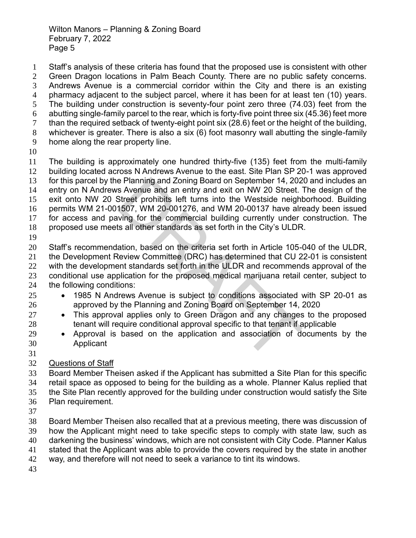Staff's analysis of these criteria has found that the proposed use is consistent with other Green Dragon locations in Palm Beach County. There are no public safety concerns. Andrews Avenue is a commercial corridor within the City and there is an existing pharmacy adjacent to the subject parcel, where it has been for at least ten (10) years. The building under construction is seventy-four point zero three (74.03) feet from the abutting single-family parcel to the rear, which is forty-five point three six (45.36) feet more than the required setback of twenty-eight point six (28.6) feet or the height of the building, whichever is greater. There is also a six (6) foot masonry wall abutting the single-family home along the rear property line.

 The building is approximately one hundred thirty-five (135) feet from the multi-family building located across N Andrews Avenue to the east. Site Plan SP 20-1 was approved for this parcel by the Planning and Zoning Board on September 14, 2020 and includes an entry on N Andrews Avenue and an entry and exit on NW 20 Street. The design of the exit onto NW 20 Street prohibits left turns into the Westside neighborhood. Building permits WM 21-001507, WM 20-001276, and WM 20-00137 have already been issued for access and paving for the commercial building currently under construction. The e Planning and Zoning Board on September 14, 202<br>s Avenue and an entry and exit on NW 20 Street.<br>Street prohibits left turns into the Westside neighl<br>1507, WM 20-001276, and WM 20-00137 have already<br>1507, WM 20-001276, and

proposed use meets all other standards as set forth in the City's ULDR.

 Staff's recommendation, based on the criteria set forth in Article 105-040 of the ULDR, the Development Review Committee (DRC) has determined that CU 22-01 is consistent 22 with the development standards set forth in the ULDR and recommends approval of the conditional use application for the proposed medical marijuana retail center, subject to the following conditions:

- 1985 N Andrews Avenue is subject to conditions associated with SP 20-01 as approved by the Planning and Zoning Board on September 14, 2020
- This approval applies only to Green Dragon and any changes to the proposed 28 tenant will require conditional approval specific to that tenant if applicable
- Approval is based on the application and association of documents by the Applicant
- 

Questions of Staff

 Board Member Theisen asked if the Applicant has submitted a Site Plan for this specific retail space as opposed to being for the building as a whole. Planner Kalus replied that the Site Plan recently approved for the building under construction would satisfy the Site Plan requirement.

 Board Member Theisen also recalled that at a previous meeting, there was discussion of how the Applicant might need to take specific steps to comply with state law, such as darkening the business' windows, which are not consistent with City Code. Planner Kalus stated that the Applicant was able to provide the covers required by the state in another

- way, and therefore will not need to seek a variance to tint its windows.
-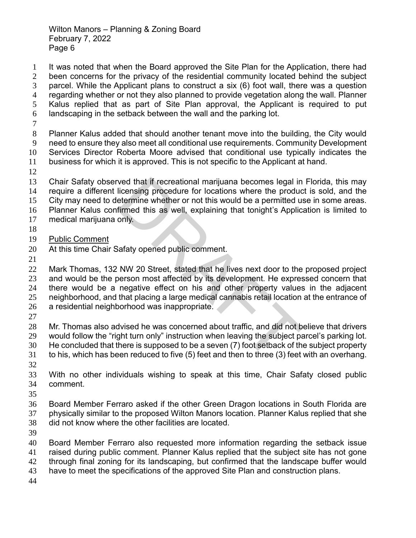It was noted that when the Board approved the Site Plan for the Application, there had been concerns for the privacy of the residential community located behind the subject parcel. While the Applicant plans to construct a six (6) foot wall, there was a question regarding whether or not they also planned to provide vegetation along the wall. Planner Kalus replied that as part of Site Plan approval, the Applicant is required to put landscaping in the setback between the wall and the parking lot. Planner Kalus added that should another tenant move into the building, the City would need to ensure they also meet all conditional use requirements. Community Development Services Director Roberta Moore advised that conditional use typically indicates the business for which it is approved. This is not specific to the Applicant at hand. Chair Safaty observed that if recreational marijuana becomes legal in Florida, this may

 require a different licensing procedure for locations where the product is sold, and the City may need to determine whether or not this would be a permitted use in some areas. Planner Kalus confirmed this as well, explaining that tonight's Application is limited to

- medical marijuana only.
- 
- Public Comment
- At this time Chair Safaty opened public comment.
- 

 Mark Thomas, 132 NW 20 Street, stated that he lives next door to the proposed project and would be the person most affected by its development. He expressed concern that there would be a negative effect on his and other property values in the adjacent neighborhood, and that placing a large medical cannabis retail location at the entrance of a residential neighborhood was inappropriate. ved that if recreational marijuana becomes legal in<br>licensing procedure for locations where the produce<br>termine whether or not this would be a permitted u<br>firmed this as well, explaining that tonight's Applic<br>only.<br>Safaty

- 
- 
- Mr. Thomas also advised he was concerned about traffic, and did not believe that drivers would follow the "right turn only" instruction when leaving the subject parcel's parking lot.
- He concluded that there is supposed to be a seven (7) foot setback of the subject property to his, which has been reduced to five (5) feet and then to three (3) feet with an overhang.
- 
- With no other individuals wishing to speak at this time, Chair Safaty closed public comment.
- 

 Board Member Ferraro asked if the other Green Dragon locations in South Florida are physically similar to the proposed Wilton Manors location. Planner Kalus replied that she did not know where the other facilities are located.

 Board Member Ferraro also requested more information regarding the setback issue raised during public comment. Planner Kalus replied that the subject site has not gone through final zoning for its landscaping, but confirmed that the landscape buffer would have to meet the specifications of the approved Site Plan and construction plans.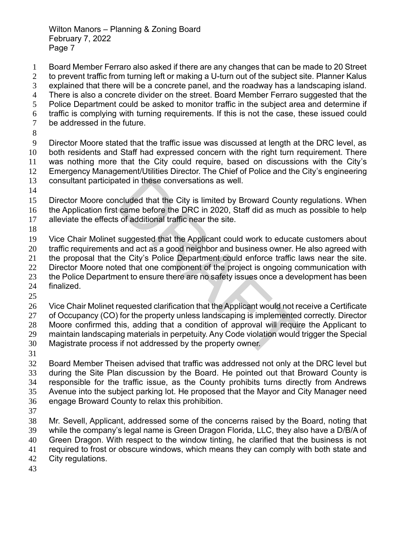- Board Member Ferraro also asked if there are any changes that can be made to 20 Street to prevent traffic from turning left or making a U-turn out of the subject site. Planner Kalus explained that there will be a concrete panel, and the roadway has a landscaping island. There is also a concrete divider on the street. Board Member Ferraro suggested that the Police Department could be asked to monitor traffic in the subject area and determine if traffic is complying with turning requirements. If this is not the case, these issued could be addressed in the future. Director Moore stated that the traffic issue was discussed at length at the DRC level, as both residents and Staff had expressed concern with the right turn requirement. There was nothing more that the City could require, based on discussions with the City's Emergency Management/Utilities Director. The Chief of Police and the City's engineering consultant participated in these conversations as well.
- 
- Director Moore concluded that the City is limited by Broward County regulations. When the Application first came before the DRC in 2020, Staff did as much as possible to help ated in these conversations as well.<br>
Icluded that the City is limited by Broward County r<br>
came before the DRC in 2020, Staff did as much a<br>
sof additional traffic near the site.<br>
suggested that the Applicant could work t
- alleviate the effects of additional traffic near the site.
- 

 Vice Chair Molinet suggested that the Applicant could work to educate customers about traffic requirements and act as a good neighbor and business owner. He also agreed with

the proposal that the City's Police Department could enforce traffic laws near the site.

22 Director Moore noted that one component of the project is ongoing communication with

- 23 the Police Department to ensure there are no safety issues once a development has been
- finalized.
- 

Vice Chair Molinet requested clarification that the Applicant would not receive a Certificate

27 of Occupancy (CO) for the property unless landscaping is implemented correctly. Director Moore confirmed this, adding that a condition of approval will require the Applicant to

 maintain landscaping materials in perpetuity. Any Code violation would trigger the Special Magistrate process if not addressed by the property owner.

 Board Member Theisen advised that traffic was addressed not only at the DRC level but during the Site Plan discussion by the Board. He pointed out that Broward County is responsible for the traffic issue, as the County prohibits turns directly from Andrews Avenue into the subject parking lot. He proposed that the Mayor and City Manager need engage Broward County to relax this prohibition.

 Mr. Sevell, Applicant, addressed some of the concerns raised by the Board, noting that while the company's legal name is Green Dragon Florida, LLC, they also have a D/B/A of Green Dragon. With respect to the window tinting, he clarified that the business is not required to frost or obscure windows, which means they can comply with both state and City regulations.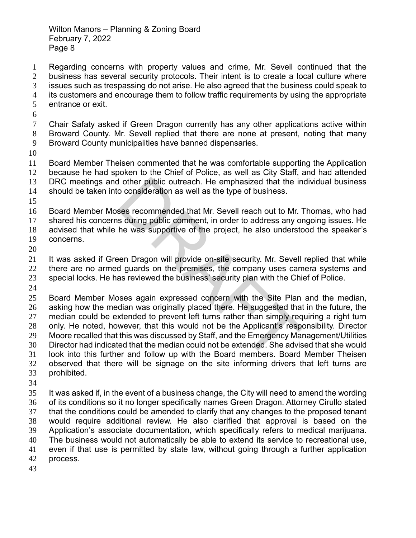Regarding concerns with property values and crime, Mr. Sevell continued that the business has several security protocols. Their intent is to create a local culture where issues such as trespassing do not arise. He also agreed that the business could speak to its customers and encourage them to follow traffic requirements by using the appropriate

- entrance or exit.
- 

 Chair Safaty asked if Green Dragon currently has any other applications active within Broward County. Mr. Sevell replied that there are none at present, noting that many Broward County municipalities have banned dispensaries.

 Board Member Theisen commented that he was comfortable supporting the Application because he had spoken to the Chief of Police, as well as City Staff, and had attended DRC meetings and other public outreach. He emphasized that the individual business should be taken into consideration as well as the type of business.

 Board Member Moses recommended that Mr. Sevell reach out to Mr. Thomas, who had shared his concerns during public comment, in order to address any ongoing issues. He

advised that while he was supportive of the project, he also understood the speaker's

- concerns.
- 

21 It was asked if Green Dragon will provide on-site security. Mr. Sevell replied that while 22 there are no armed guards on the premises, the company uses camera systems and special locks. He has reviewed the business' security plan with the Chief of Police.

 Board Member Moses again expressed concern with the Site Plan and the median, asking how the median was originally placed there. He suggested that in the future, the median could be extended to prevent left turns rather than simply requiring a right turn only. He noted, however, that this would not be the Applicant's responsibility. Director Moore recalled that this was discussed by Staff, and the Emergency Management/Utilities Director had indicated that the median could not be extended. She advised that she would look into this further and follow up with the Board members. Board Member Theisen observed that there will be signage on the site informing drivers that left turns are prohibited. If other public outreach. He emphasized that the in<br>o consideration as well as the type of business.<br>ses recommended that Mr. Sevell reach out to Mr.<br>is during public comment, in order to address any of<br>he was supportive o

 It was asked if, in the event of a business change, the City will need to amend the wording of its conditions so it no longer specifically names Green Dragon. Attorney Cirullo stated that the conditions could be amended to clarify that any changes to the proposed tenant would require additional review. He also clarified that approval is based on the Application's associate documentation, which specifically refers to medical marijuana. The business would not automatically be able to extend its service to recreational use, even if that use is permitted by state law, without going through a further application process.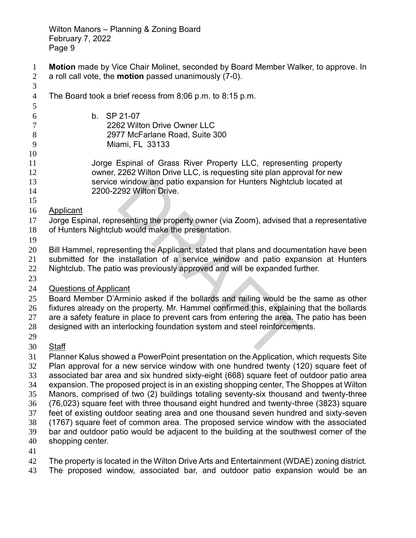- **Motion** made by Vice Chair Molinet, seconded by Board Member Walker, to approve. In a roll call vote, the **motion** passed unanimously (7-0).
- The Board took a brief recess from 8:06 p.m. to 8:15 p.m. b. SP 21-07 2262 Wilton Drive Owner LLC 2977 McFarlane Road, Suite 300 Miami, FL 33133 Jorge Espinal of Grass River Property LLC, representing property owner, 2262 Wilton Drive LLC, is requesting site plan approval for new service window and patio expansion for Hunters Nightclub located at 2200-2292 Wilton Drive. Applicant Jorge Espinal, representing the property owner (via Zoom), advised that a representative of Hunters Nightclub would make the presentation. Bill Hammel, representing the Applicant, stated that plans and documentation have been submitted for the installation of a service window and patio expansion at Hunters Nightclub. The patio was previously approved and will be expanded further. Questions of Applicant Board Member D'Arminio asked if the bollards and railing would be the same as other fixtures already on the property. Mr. Hammel confirmed this, explaining that the bollards are a safety feature in place to prevent cars from entering the area. The patio has been designed with an interlocking foundation system and steel reinforcements. Staff window and patio expansion for Hunters Nightclub<br>292 Wilton Drive.<br>esenting the property owner (via Zoom), advised that<br>b would make the presentation.<br>senting the Applicant, stated that plans and docume<br>installation of a s
- Planner Kalus showed a PowerPoint presentation on the Application, which requests Site Plan approval for a new service window with one hundred twenty (120) square feet of associated bar area and six hundred sixty-eight (668) square feet of outdoor patio area expansion. The proposed project is in an existing shopping center, The Shoppes at Wilton Manors, comprised of two (2) buildings totaling seventy-six thousand and twenty-three (76,023) square feet with three thousand eight hundred and twenty-three (3823) square feet of existing outdoor seating area and one thousand seven hundred and sixty-seven (1767) square feet of common area. The proposed service window with the associated bar and outdoor patio would be adjacent to the building at the southwest corner of the shopping center.
- 
- The property is located in the Wilton Drive Arts and Entertainment (WDAE) zoning district.
- The proposed window, associated bar, and outdoor patio expansion would be an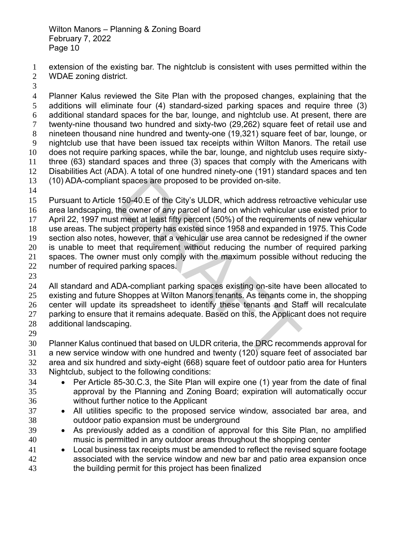- extension of the existing bar. The nightclub is consistent with uses permitted within the WDAE zoning district.
- 

 Planner Kalus reviewed the Site Plan with the proposed changes, explaining that the additions will eliminate four (4) standard-sized parking spaces and require three (3) additional standard spaces for the bar, lounge, and nightclub use. At present, there are twenty-nine thousand two hundred and sixty-two (29,262) square feet of retail use and nineteen thousand nine hundred and twenty-one (19,321) square feet of bar, lounge, or nightclub use that have been issued tax receipts within Wilton Manors. The retail use does not require parking spaces, while the bar, lounge, and nightclub uses require sixty- three (63) standard spaces and three (3) spaces that comply with the Americans with Disabilities Act (ADA). A total of one hundred ninety-one (191) standard spaces and ten (10) ADA-compliant spaces are proposed to be provided on-site.

 Pursuant to Article 150-40.E of the City's ULDR, which address retroactive vehicular use area landscaping, the owner of any parcel of land on which vehicular use existed prior to April 22, 1997 must meet at least fifty percent (50%) of the requirements of new vehicular use areas. The subject property has existed since 1958 and expanded in 1975. This Code section also notes, however, that a vehicular use area cannot be redesigned if the owner is unable to meet that requirement without reducing the number of required parking spaces. The owner must only comply with the maximum possible without reducing the number of required parking spaces. t spaces are proposed to be provided on-site.<br>150-40.E of the City's ULDR, which address retroache owner of any parcel of land on which vehicular u<br>t meet at least fifty percent (50%) of the requirement<br>ject property has e

 All standard and ADA-compliant parking spaces existing on-site have been allocated to existing and future Shoppes at Wilton Manors tenants. As tenants come in, the shopping center will update its spreadsheet to identify these tenants and Staff will recalculate parking to ensure that it remains adequate. Based on this, the Applicant does not require additional landscaping.

 Planner Kalus continued that based on ULDR criteria, the DRC recommends approval for a new service window with one hundred and twenty (120) square feet of associated bar area and six hundred and sixty-eight (668) square feet of outdoor patio area for Hunters Nightclub, subject to the following conditions:

- Per Article 85-30.C.3, the Site Plan will expire one (1) year from the date of final approval by the Planning and Zoning Board; expiration will automatically occur without further notice to the Applicant
- All utilities specific to the proposed service window, associated bar area, and outdoor patio expansion must be underground
- As previously added as a condition of approval for this Site Plan, no amplified music is permitted in any outdoor areas throughout the shopping center
- 41 Local business tax receipts must be amended to reflect the revised square footage associated with the service window and new bar and patio area expansion once the building permit for this project has been finalized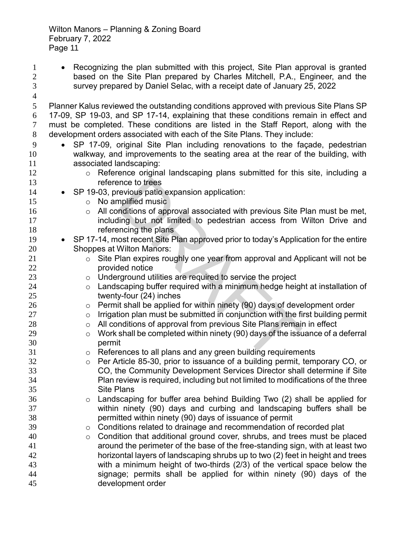survey prepared by Daniel Selac, with a receipt date of January 25, 2022 Planner Kalus reviewed the outstanding conditions approved with previous Site Plans SP 17-09, SP 19-03, and SP 17-14, explaining that these conditions remain in effect and must be completed. These conditions are listed in the Staff Report, along with the development orders associated with each of the Site Plans. They include: • SP 17-09, original Site Plan including renovations to the façade, pedestrian walkway, and improvements to the seating area at the rear of the building, with associated landscaping: **b Reference original landscaping plans submitted for this site, including a**  reference to trees • SP 19-03, previous patio expansion application: 15 o No amplified music **16 o** All conditions of approval associated with previous Site Plan must be met, **including but not limited to pedestrian access from Wilton Drive and** 18 referencing the plans 19 • SP 17-14, most recent Site Plan approved prior to today's Application for the entire Shoppes at Wilton Manors: **b** Site Plan expires roughly one year from approval and Applicant will not be **provided notice**  o Underground utilities are required to service the project **b 24** o Landscaping buffer required with a minimum hedge height at installation of twenty-four (24) inches o Permit shall be applied for within ninety (90) days of development order o Irrigation plan must be submitted in conjunction with the first building permit **28 b**  $\circ$  All conditions of approval from previous Site Plans remain in effect  $\degree$  O Work shall be completed within ninety (90) days of the issuance of a deferral permit o References to all plans and any green building requirements o Per Article 85-30, prior to issuance of a building permit, temporary CO, or CO, the Community Development Services Director shall determine if Site explores these these these these application:<br>
The approval associated with previous Site F<br>
Filing but not limited to pedestrian access from<br>
Incing the plans<br>
Cost recent Site Plan approved prior to today's Applic<br>
Wilto

1 • Recognizing the plan submitted with this project, Site Plan approval is granted based on the Site Plan prepared by Charles Mitchell, P.A., Engineer, and the

- Plan review is required, including but not limited to modifications of the three Site Plans o Landscaping for buffer area behind Building Two (2) shall be applied for within ninety (90) days and curbing and landscaping buffers shall be permitted within ninety (90) days of issuance of permit
- **39** Conditions related to drainage and recommendation of recorded plat
- o Condition that additional ground cover, shrubs, and trees must be placed around the perimeter of the base of the free-standing sign, with at least two horizontal layers of landscaping shrubs up to two (2) feet in height and trees with a minimum height of two-thirds (2/3) of the vertical space below the signage; permits shall be applied for within ninety (90) days of the development order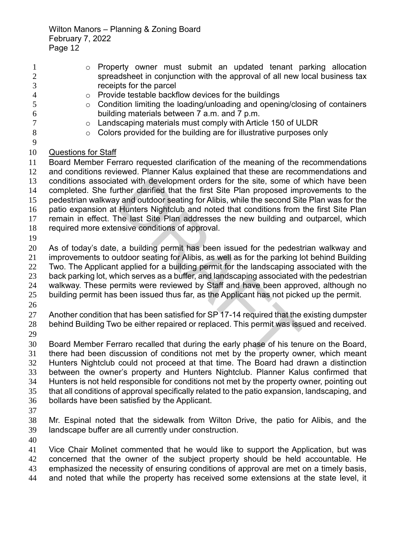| $\mathbf{1}$        | Property owner must submit an updated tenant parking allocation<br>$\circ$                                                                   |
|---------------------|----------------------------------------------------------------------------------------------------------------------------------------------|
| $\overline{2}$      | spreadsheet in conjunction with the approval of all new local business tax                                                                   |
| 3                   | receipts for the parcel                                                                                                                      |
| $\overline{4}$<br>5 | Provide testable backflow devices for the buildings<br>$\circ$<br>Condition limiting the loading/unloading and opening/closing of containers |
| 6                   | $\circ$<br>building materials between 7 a.m. and 7 p.m.                                                                                      |
| $\tau$              | Landscaping materials must comply with Article 150 of ULDR                                                                                   |
| 8                   | $\circ$<br>Colors provided for the building are for illustrative purposes only<br>$\circ$                                                    |
| $\mathbf{9}$        |                                                                                                                                              |
| 10                  | <b>Questions for Staff</b>                                                                                                                   |
| 11                  | Board Member Ferraro requested clarification of the meaning of the recommendations                                                           |
| 12                  | and conditions reviewed. Planner Kalus explained that these are recommendations and                                                          |
| 13                  | conditions associated with development orders for the site, some of which have been                                                          |
| 14                  | completed. She further clarified that the first Site Plan proposed improvements to the                                                       |
| 15                  | pedestrian walkway and outdoor seating for Alibis, while the second Site Plan was for the                                                    |
| 16                  | patio expansion at Hunters Nightclub and noted that conditions from the first Site Plan                                                      |
| 17                  | remain in effect. The last Site Plan addresses the new building and outparcel, which                                                         |
| 18                  | required more extensive conditions of approval.                                                                                              |
| 19                  |                                                                                                                                              |
| 20                  | As of today's date, a building permit has been issued for the pedestrian walkway and                                                         |
| 21                  | improvements to outdoor seating for Alibis, as well as for the parking lot behind Building                                                   |
| 22                  | Two. The Applicant applied for a building permit for the landscaping associated with the                                                     |
| 23                  | back parking lot, which serves as a buffer, and landscaping associated with the pedestrian                                                   |
| 24                  | walkway. These permits were reviewed by Staff and have been approved, although no                                                            |
| 25                  | building permit has been issued thus far, as the Applicant has not picked up the permit.                                                     |
| 26                  |                                                                                                                                              |
| 27                  | Another condition that has been satisfied for SP 17-14 required that the existing dumpster                                                   |
| 28                  | behind Building Two be either repaired or replaced. This permit was issued and received.                                                     |
| 29                  |                                                                                                                                              |
| 30                  | Board Member Ferraro recalled that during the early phase of his tenure on the Board,                                                        |
| 31                  | there had been discussion of conditions not met by the property owner, which meant                                                           |
| 32                  | Hunters Nightclub could not proceed at that time. The Board had drawn a distinction                                                          |
| 33                  | between the owner's property and Hunters Nightclub. Planner Kalus confirmed that                                                             |
| 34                  | Hunters is not held responsible for conditions not met by the property owner, pointing out                                                   |
| 35                  | that all conditions of approval specifically related to the patio expansion, landscaping, and                                                |
| 36                  | bollards have been satisfied by the Applicant.                                                                                               |
| 37                  |                                                                                                                                              |
| 38                  | Mr. Espinal noted that the sidewalk from Wilton Drive, the patio for Alibis, and the                                                         |
| 39                  | landscape buffer are all currently under construction.                                                                                       |
| 40                  |                                                                                                                                              |
| 41                  | Vice Chair Molinet commented that he would like to support the Application, but was                                                          |
| 42                  | concerned that the owner of the subject property should be held accountable. He                                                              |
| 43                  | emphasized the necessity of ensuring conditions of approval are met on a timely basis,                                                       |
| 44                  | and noted that while the property has received some extensions at the state level, it                                                        |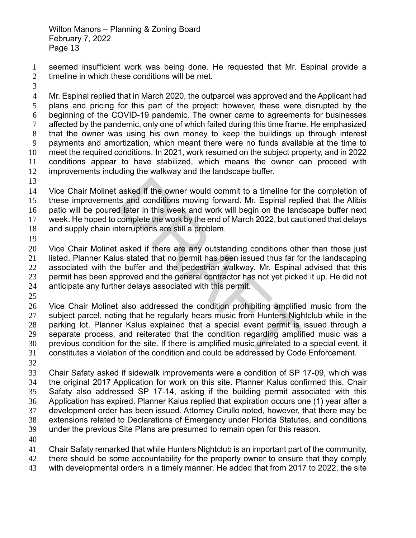seemed insufficient work was being done. He requested that Mr. Espinal provide a timeline in which these conditions will be met.

 Mr. Espinal replied that in March 2020, the outparcel was approved and the Applicant had plans and pricing for this part of the project; however, these were disrupted by the beginning of the COVID-19 pandemic. The owner came to agreements for businesses affected by the pandemic, only one of which failed during this time frame. He emphasized that the owner was using his own money to keep the buildings up through interest payments and amortization, which meant there were no funds available at the time to meet the required conditions. In 2021, work resumed on the subject property, and in 2022 conditions appear to have stabilized, which means the owner can proceed with improvements including the walkway and the landscape buffer.

 Vice Chair Molinet asked if the owner would commit to a timeline for the completion of these improvements and conditions moving forward. Mr. Espinal replied that the Alibis patio will be poured later in this week and work will begin on the landscape buffer next week. He hoped to complete the work by the end of March 2022, but cautioned that delays and supply chain interruptions are still a problem.

 Vice Chair Molinet asked if there are any outstanding conditions other than those just listed. Planner Kalus stated that no permit has been issued thus far for the landscaping associated with the buffer and the pedestrian walkway. Mr. Espinal advised that this permit has been approved and the general contractor has not yet picked it up. He did not anticipate any further delays associated with this permit.

 Vice Chair Molinet also addressed the condition prohibiting amplified music from the subject parcel, noting that he regularly hears music from Hunters Nightclub while in the parking lot. Planner Kalus explained that a special event permit is issued through a separate process, and reiterated that the condition regarding amplified music was a previous condition for the site. If there is amplified music unrelated to a special event, it constitutes a violation of the condition and could be addressed by Code Enforcement. asked if the owner would commit to a timeline for<br>ts and conditions moving forward. Mr. Espinal repl<br>d later in this week and work will begin on the land<br>complete the work by the end of March 2022, but cau<br>terruptions are

 Chair Safaty asked if sidewalk improvements were a condition of SP 17-09, which was the original 2017 Application for work on this site. Planner Kalus confirmed this. Chair Safaty also addressed SP 17-14, asking if the building permit associated with this Application has expired. Planner Kalus replied that expiration occurs one (1) year after a development order has been issued. Attorney Cirullo noted, however, that there may be extensions related to Declarations of Emergency under Florida Statutes, and conditions under the previous Site Plans are presumed to remain open for this reason.

Chair Safaty remarked that while Hunters Nightclub is an important part of the community,

there should be some accountability for the property owner to ensure that they comply

with developmental orders in a timely manner. He added that from 2017 to 2022, the site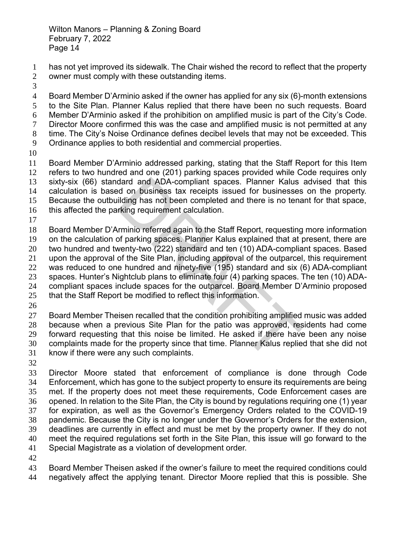has not yet improved its sidewalk. The Chair wished the record to reflect that the property owner must comply with these outstanding items.

 Board Member D'Arminio asked if the owner has applied for any six (6)-month extensions to the Site Plan. Planner Kalus replied that there have been no such requests. Board Member D'Arminio asked if the prohibition on amplified music is part of the City's Code. Director Moore confirmed this was the case and amplified music is not permitted at any time. The City's Noise Ordinance defines decibel levels that may not be exceeded. This Ordinance applies to both residential and commercial properties. Board Member D'Arminio addressed parking, stating that the Staff Report for this Item

 refers to two hundred and one (201) parking spaces provided while Code requires only sixty-six (66) standard and ADA-compliant spaces. Planner Kalus advised that this

 calculation is based on business tax receipts issued for businesses on the property. Because the outbuilding has not been completed and there is no tenant for that space,

- this affected the parking requirement calculation.
- 

 Board Member D'Arminio referred again to the Staff Report, requesting more information on the calculation of parking spaces. Planner Kalus explained that at present, there are two hundred and twenty-two (222) standard and ten (10) ADA-compliant spaces. Based upon the approval of the Site Plan, including approval of the outparcel, this requirement

was reduced to one hundred and ninety-five (195) standard and six (6) ADA-compliant

spaces. Hunter's Nightclub plans to eliminate four (4) parking spaces. The ten (10) ADA-

compliant spaces include spaces for the outparcel. Board Member D'Arminio proposed

- that the Staff Report be modified to reflect this information.
- 

 Board Member Theisen recalled that the condition prohibiting amplified music was added because when a previous Site Plan for the patio was approved, residents had come forward requesting that this noise be limited. He asked if there have been any noise complaints made for the property since that time. Planner Kalus replied that she did not know if there were any such complaints. dard and ADA-compliant spaces. Planner Kalus<br>d on business tax receipts issued for businesses<br>ilding has not been completed and there is no tena<br>rking requirement calculation.<br>Trainio referred again to the Staff Report, re

 Director Moore stated that enforcement of compliance is done through Code Enforcement, which has gone to the subject property to ensure its requirements are being met. If the property does not meet these requirements, Code Enforcement cases are opened. In relation to the Site Plan, the City is bound by regulations requiring one (1) year for expiration, as well as the Governor's Emergency Orders related to the COVID-19 pandemic. Because the City is no longer under the Governor's Orders for the extension, deadlines are currently in effect and must be met by the property owner. If they do not meet the required regulations set forth in the Site Plan, this issue will go forward to the Special Magistrate as a violation of development order.

 Board Member Theisen asked if the owner's failure to meet the required conditions could negatively affect the applying tenant. Director Moore replied that this is possible. She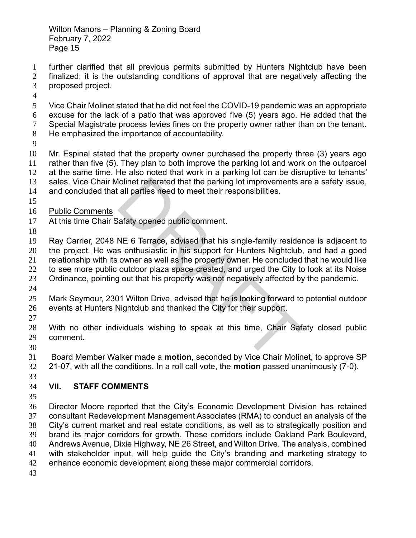- further clarified that all previous permits submitted by Hunters Nightclub have been finalized: it is the outstanding conditions of approval that are negatively affecting the
- proposed project.
- 

 Vice Chair Molinet stated that he did not feel the COVID-19 pandemic was an appropriate excuse for the lack of a patio that was approved five (5) years ago. He added that the Special Magistrate process levies fines on the property owner rather than on the tenant. He emphasized the importance of accountability.

 Mr. Espinal stated that the property owner purchased the property three (3) years ago rather than five (5). They plan to both improve the parking lot and work on the outparcel at the same time. He also noted that work in a parking lot can be disruptive to tenants' sales. Vice Chair Molinet reiterated that the parking lot improvements are a safety issue,

and concluded that all parties need to meet their responsibilities.

- 
- Public Comments
- At this time Chair Safaty opened public comment.
- 

 Ray Carrier, 2048 NE 6 Terrace, advised that his single-family residence is adjacent to the project. He was enthusiastic in his support for Hunters Nightclub, and had a good relationship with its owner as well as the property owner. He concluded that he would like to see more public outdoor plaza space created, and urged the City to look at its Noise Iolinet reiterated that the parking lot improvements and parties need to meet their responsibilities.<br>
NE 6 Terrace, advised that his single-family resider<br>
senthusiastic in his support for Hunters Nightclub<br>
owner as well

- Ordinance, pointing out that his property was not negatively affected by the pandemic.
- 
- Mark Seymour, 2301 Wilton Drive, advised that he is looking forward to potential outdoor events at Hunters Nightclub and thanked the City for their support.
- 

 With no other individuals wishing to speak at this time, Chair Safaty closed public comment.

 Board Member Walker made a **motion**, seconded by Vice Chair Molinet, to approve SP 21-07, with all the conditions. In a roll call vote, the **motion** passed unanimously (7-0).

# **VII. STAFF COMMENTS**

 Director Moore reported that the City's Economic Development Division has retained consultant Redevelopment Management Associates (RMA) to conduct an analysis of the City's current market and real estate conditions, as well as to strategically position and brand its major corridors for growth. These corridors include Oakland Park Boulevard, Andrews Avenue, Dixie Highway, NE 26 Street, and Wilton Drive. The analysis, combined with stakeholder input, will help guide the City's branding and marketing strategy to enhance economic development along these major commercial corridors.